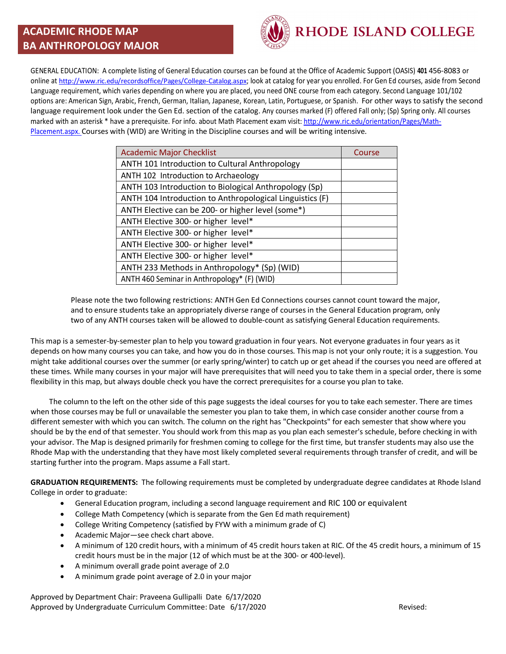## **ACADEMIC RHODE MAP BA ANTHROPOLOGY MAJOR**



GENERAL EDUCATION: A complete listing of General Education courses can be found at the Office of Academic Support (OASIS) **401** 456-8083 or online at http://www.ric.edu/recordsoffice/Pages/College-Catalog.aspx; look at catalog for year you enrolled. For Gen Ed courses, aside from Second Language requirement, which varies depending on where you are placed, you need ONE course from each category. Second Language 101/102 options are: American Sign, Arabic, French, German, Italian, Japanese, Korean, Latin, Portuguese, or Spanish. For other ways to satisfy the second language requirement look under the Gen Ed. section of the catalog. Any courses marked (F) offered Fall only; (Sp) Spring only. All courses marked with an asterisk \* have a prerequisite. For info. about Math Placement exam visit: http://www.ric.edu/orientation/Pages/Math-Placement.aspx. Courses with (WID) are Writing in the Discipline courses and will be writing intensive.

| <b>Academic Major Checklist</b>                          | Course |
|----------------------------------------------------------|--------|
| ANTH 101 Introduction to Cultural Anthropology           |        |
| ANTH 102 Introduction to Archaeology                     |        |
| ANTH 103 Introduction to Biological Anthropology (Sp)    |        |
| ANTH 104 Introduction to Anthropological Linguistics (F) |        |
| ANTH Elective can be 200- or higher level (some*)        |        |
| ANTH Elective 300- or higher level*                      |        |
| ANTH Elective 300- or higher level*                      |        |
| ANTH Elective 300- or higher level*                      |        |
| ANTH Elective 300- or higher level*                      |        |
| ANTH 233 Methods in Anthropology* (Sp) (WID)             |        |
| ANTH 460 Seminar in Anthropology* (F) (WID)              |        |

Please note the two following restrictions: ANTH Gen Ed Connections courses cannot count toward the major, and to ensure students take an appropriately diverse range of courses in the General Education program, only two of any ANTH courses taken will be allowed to double-count as satisfying General Education requirements.

This map is a semester-by-semester plan to help you toward graduation in four years. Not everyone graduates in four years as it depends on how many courses you can take, and how you do in those courses. This map is not your only route; it is a suggestion. You might take additional courses over the summer (or early spring/winter) to catch up or get ahead if the courses you need are offered at these times. While many courses in your major will have prerequisites that will need you to take them in a special order, there is some flexibility in this map, but always double check you have the correct prerequisites for a course you plan to take.

 The column to the left on the other side of this page suggests the ideal courses for you to take each semester. There are times when those courses may be full or unavailable the semester you plan to take them, in which case consider another course from a different semester with which you can switch. The column on the right has "Checkpoints" for each semester that show where you should be by the end of that semester. You should work from this map as you plan each semester's schedule, before checking in with your advisor. The Map is designed primarily for freshmen coming to college for the first time, but transfer students may also use the Rhode Map with the understanding that they have most likely completed several requirements through transfer of credit, and will be starting further into the program. Maps assume a Fall start.

**GRADUATION REQUIREMENTS:** The following requirements must be completed by undergraduate degree candidates at Rhode Island College in order to graduate:

- General Education program, including a second language requirement and RIC 100 or equivalent
- College Math Competency (which is separate from the Gen Ed math requirement)
- College Writing Competency (satisfied by FYW with a minimum grade of C)
- Academic Major—see check chart above.
- A minimum of 120 credit hours, with a minimum of 45 credit hours taken at RIC. Of the 45 credit hours, a minimum of 15 credit hours must be in the major (12 of which must be at the 300- or 400-level).
- A minimum overall grade point average of 2.0
- A minimum grade point average of 2.0 in your major

Approved by Department Chair: Praveena Gullipalli Date 6/17/2020 Approved by Undergraduate Curriculum Committee: Date 6/17/2020 **Revised:** Revised: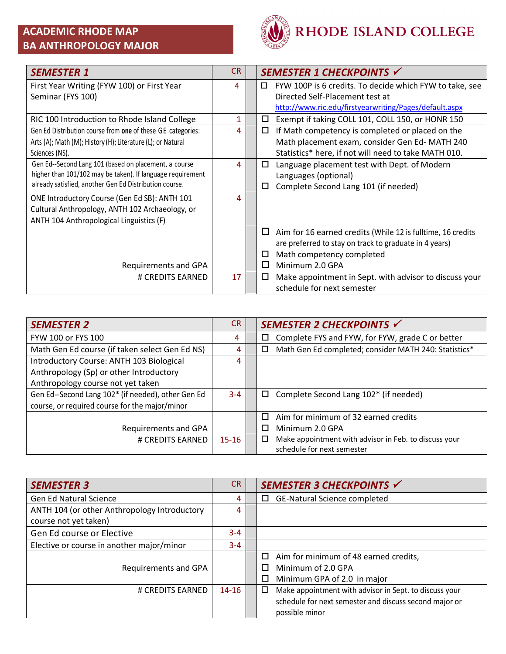## **ACADEMIC RHODE MAP BA ANTHROPOLOGY MAJOR**



| <b>SEMESTER 1</b>                                           | <b>CR</b> | SEMESTER 1 CHECKPOINTS √                                         |
|-------------------------------------------------------------|-----------|------------------------------------------------------------------|
| First Year Writing (FYW 100) or First Year                  | 4         | FYW 100P is 6 credits. To decide which FYW to take, see<br>□     |
| Seminar (FYS 100)                                           |           | Directed Self-Placement test at                                  |
|                                                             |           | http://www.ric.edu/firstyearwriting/Pages/default.aspx           |
| RIC 100 Introduction to Rhode Island College                | 1         | Exempt if taking COLL 101, COLL 150, or HONR 150<br>□            |
| Gen Ed Distribution course from one of these GE categories: | 4         | If Math competency is completed or placed on the<br>□            |
| Arts (A); Math (M); History (H); Literature (L); or Natural |           | Math placement exam, consider Gen Ed-MATH 240                    |
| Sciences (NS).                                              |           | Statistics* here, if not will need to take MATH 010.             |
| Gen Ed--Second Lang 101 (based on placement, a course       | 4         | Language placement test with Dept. of Modern<br>□                |
| higher than 101/102 may be taken). If language requirement  |           | Languages (optional)                                             |
| already satisfied, another Gen Ed Distribution course.      |           | Complete Second Lang 101 (if needed)<br>□                        |
| ONE Introductory Course (Gen Ed SB): ANTH 101               | 4         |                                                                  |
| Cultural Anthropology, ANTH 102 Archaeology, or             |           |                                                                  |
| ANTH 104 Anthropological Linguistics (F)                    |           |                                                                  |
|                                                             |           | □<br>Aim for 16 earned credits (While 12 is fulltime, 16 credits |
|                                                             |           | are preferred to stay on track to graduate in 4 years)           |
|                                                             |           | Math competency completed<br>□                                   |
| Requirements and GPA                                        |           | Minimum 2.0 GPA<br>ΙI                                            |
| # CREDITS EARNED                                            | 17        | Make appointment in Sept. with advisor to discuss your<br>□      |
|                                                             |           | schedule for next semester                                       |

| <b>SEMESTER 2</b>                                  | <b>CR</b> | SEMESTER 2 CHECKPOINTS √                                   |
|----------------------------------------------------|-----------|------------------------------------------------------------|
| FYW 100 or FYS 100                                 | 4         | Complete FYS and FYW, for FYW, grade C or better<br>$\Box$ |
| Math Gen Ed course (if taken select Gen Ed NS)     | 4         | Math Gen Ed completed; consider MATH 240: Statistics*<br>□ |
| Introductory Course: ANTH 103 Biological           | 4         |                                                            |
| Anthropology (Sp) or other Introductory            |           |                                                            |
| Anthropology course not yet taken                  |           |                                                            |
| Gen Ed--Second Lang 102* (if needed), other Gen Ed | $3 - 4$   | Complete Second Lang 102* (if needed)<br>□                 |
| course, or required course for the major/minor     |           |                                                            |
|                                                    |           | Aim for minimum of 32 earned credits                       |
| Requirements and GPA                               |           | Minimum 2.0 GPA                                            |
| # CREDITS EARNED                                   | $15 - 16$ | □<br>Make appointment with advisor in Feb. to discuss your |
|                                                    |           | schedule for next semester                                 |

| <b>SEMESTER 3</b>                            | CR.       | SEMESTER 3 CHECKPOINTS √                                    |
|----------------------------------------------|-----------|-------------------------------------------------------------|
| <b>Gen Ed Natural Science</b>                | 4         | GE-Natural Science completed<br>□                           |
| ANTH 104 (or other Anthropology Introductory | 4         |                                                             |
| course not yet taken)                        |           |                                                             |
| Gen Ed course or Elective                    | $3 - 4$   |                                                             |
| Elective or course in another major/minor    | $3 - 4$   |                                                             |
|                                              |           | Aim for minimum of 48 earned credits,<br>□                  |
| Requirements and GPA                         |           | Minimum of 2.0 GPA<br>П                                     |
|                                              |           | □<br>Minimum GPA of 2.0 in major                            |
| # CREDITS EARNED                             | $14 - 16$ | Make appointment with advisor in Sept. to discuss your<br>□ |
|                                              |           | schedule for next semester and discuss second major or      |
|                                              |           | possible minor                                              |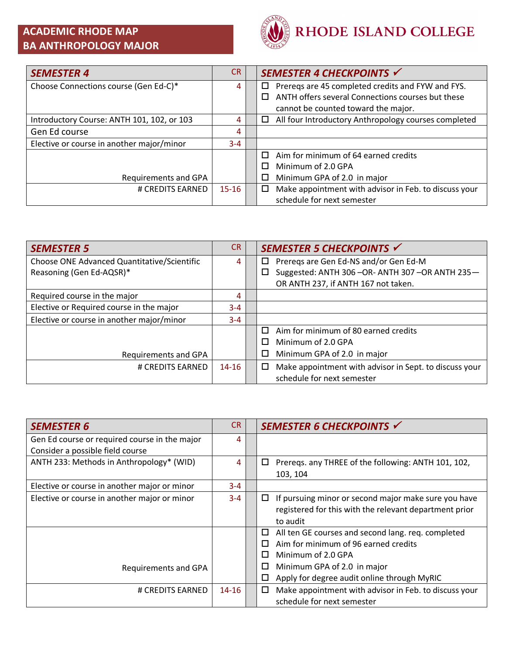## **ACADEMIC RHODE MAP BA ANTHROPOLOGY MAJOR**



| <b>SEMESTER 4</b>                          | CR.       | SEMESTER 4 CHECKPOINTS √                                   |
|--------------------------------------------|-----------|------------------------------------------------------------|
| Choose Connections course (Gen Ed-C)*      | 4         | Prereqs are 45 completed credits and FYW and FYS.<br>□     |
|                                            |           | ANTH offers several Connections courses but these<br>П     |
|                                            |           | cannot be counted toward the major.                        |
| Introductory Course: ANTH 101, 102, or 103 | 4         | All four Introductory Anthropology courses completed<br>□  |
| Gen Ed course                              | 4         |                                                            |
| Elective or course in another major/minor  | $3 - 4$   |                                                            |
|                                            |           | Aim for minimum of 64 earned credits<br>П                  |
|                                            |           | Minimum of 2.0 GPA<br>П                                    |
| Requirements and GPA                       |           | Minimum GPA of 2.0 in major<br>$\Box$                      |
| # CREDITS EARNED                           | $15 - 16$ | Make appointment with advisor in Feb. to discuss your<br>□ |
|                                            |           | schedule for next semester                                 |

| <b>SEMESTER 5</b>                           | <b>CR</b> | SEMESTER 5 CHECKPOINTS √                                    |
|---------------------------------------------|-----------|-------------------------------------------------------------|
| Choose ONE Advanced Quantitative/Scientific | 4         | Preregs are Gen Ed-NS and/or Gen Ed-M<br>□                  |
| Reasoning (Gen Ed-AQSR)*                    |           | Suggested: ANTH 306-OR-ANTH 307-OR ANTH 235-                |
|                                             |           | OR ANTH 237, if ANTH 167 not taken.                         |
| Required course in the major                | 4         |                                                             |
| Elective or Required course in the major    | $3 - 4$   |                                                             |
| Elective or course in another major/minor   | $3 - 4$   |                                                             |
|                                             |           | Aim for minimum of 80 earned credits<br>П                   |
|                                             |           | Minimum of 2.0 GPA<br>П                                     |
| Requirements and GPA                        |           | Minimum GPA of 2.0 in major<br>□                            |
| # CREDITS EARNED                            | $14 - 16$ | Make appointment with advisor in Sept. to discuss your<br>□ |
|                                             |           | schedule for next semester                                  |

| <b>SEMESTER 6</b>                             | <b>CR</b> | SEMESTER 6 CHECKPOINTS √                                   |
|-----------------------------------------------|-----------|------------------------------------------------------------|
| Gen Ed course or required course in the major | 4         |                                                            |
| Consider a possible field course              |           |                                                            |
| ANTH 233: Methods in Anthropology* (WID)      | 4         | Prereqs. any THREE of the following: ANTH 101, 102,<br>□   |
|                                               |           | 103, 104                                                   |
| Elective or course in another major or minor  | $3 - 4$   |                                                            |
| Elective or course in another major or minor  | $3 - 4$   | If pursuing minor or second major make sure you have<br>□  |
|                                               |           | registered for this with the relevant department prior     |
|                                               |           | to audit                                                   |
|                                               |           | All ten GE courses and second lang. req. completed<br>□    |
|                                               |           | Aim for minimum of 96 earned credits                       |
|                                               |           | Minimum of 2.0 GPA<br>□                                    |
| Requirements and GPA                          |           | Minimum GPA of 2.0 in major<br>□                           |
|                                               |           | Apply for degree audit online through MyRIC<br>□           |
| # CREDITS EARNED                              | $14 - 16$ | Make appointment with advisor in Feb. to discuss your<br>□ |
|                                               |           | schedule for next semester                                 |